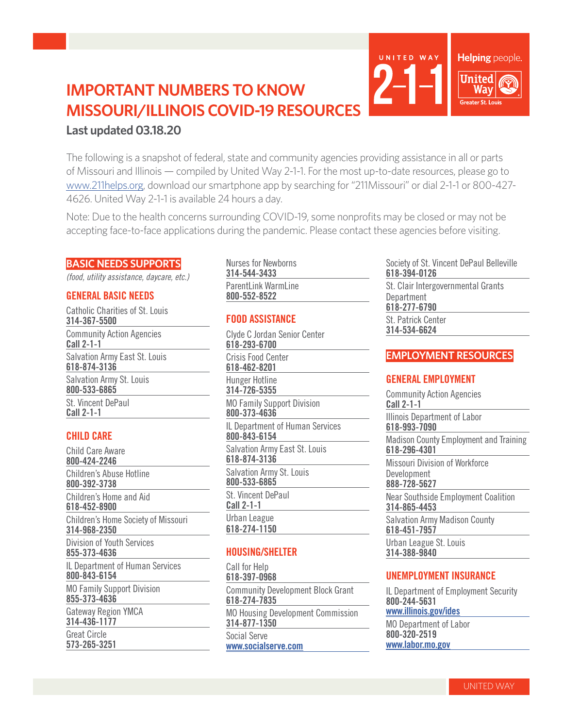# **IMPORTANT NUMBERS TO KNOW MISSOURI/ILLINOIS COVID-19 RESOURCES Last updated 03.18.20**

The following is a snapshot of federal, state and community agencies providing assistance in all or parts of Missouri and Illinois — compiled by United Way 2-1-1. For the most up-to-date resources, please go to www.211helps.org, download our smartphone app by searching for "211Missouri" or dial 2-1-1 or 800-427- 4626. United Way 2-1-1 is available 24 hours a day.

Note: Due to the health concerns surrounding COVID-19, some nonprofits may be closed or may not be accepting face-to-face applications during the pandemic. Please contact these agencies before visiting.

## **BASIC NEEDS SUPPORTS**

*(food, utility assistance, daycare, etc.)*

## **GENERAL BASIC NEEDS**

Catholic Charities of St. Louis **314-367-5500** Community Action Agencies **Call 2-1-1** Salvation Army East St. Louis **618-874-3136** Salvation Army St. Louis **800-533-6865** St. Vincent DePaul **Call 2-1-1**

# **CHILD CARE**

Child Care Aware **800-424-2246** Children's Abuse Hotline **800-392-3738** Children's Home and Aid **618-452-8900** Children's Home Society of Missouri **314-968-2350** Division of Youth Services **855-373-4636** IL Department of Human Services **800-843-6154** MO Family Support Division **855-373-4636** Gateway Region YMCA **314-436-1177** Great Circle **573-265-3251**

#### Nurses for Newborns **314-544-3433** ParentLink WarmLine **800-552-8522**

## **FOOD ASSISTANCE**

Clyde C Jordan Senior Center **618-293-6700** Crisis Food Center **618-462-8201** Hunger Hotline **314-726-5355** MO Family Support Division **800-373-4636** IL Department of Human Services **800-843-6154** Salvation Army East St. Louis **618-874-3136** Salvation Army St. Louis **800-533-6865** St. Vincent DePaul **Call 2-1-1** Urban League **618-274-1150**

# **HOUSING/SHELTER**

Call for Help **618-397-0968** Community Development Block Grant **618-274-7835** MO Housing Development Commission **314-877-1350** Social Serve **www.socialserve.com**

Society of St. Vincent DePaul Belleville **618-394-0126**

Helping people.

**United** Way ater St. Louis

St. Clair Intergovernmental Grants Department **618-277-6790** St. Patrick Center

**314-534-6624**

UNITED WAY

## **EMPLOYMENT RESOURCES**

# **GENERAL EMPLOYMENT**

Community Action Agencies **Call 2-1-1** Illinois Department of Labor **618-993-7090** Madison County Employment and Training **618-296-4301** Missouri Division of Workforce Development **888-728-5627** Near Southside Employment Coalition **314-865-4453** Salvation Army Madison County **618-451-7957** Urban League St. Louis **314-388-9840**

## **UNEMPLOYMENT INSURANCE**

IL Department of Employment Security **800-244-5631 www.illinois.gov/ides**

MO Department of Labor **800-320-2519 www.labor.mo.gov**